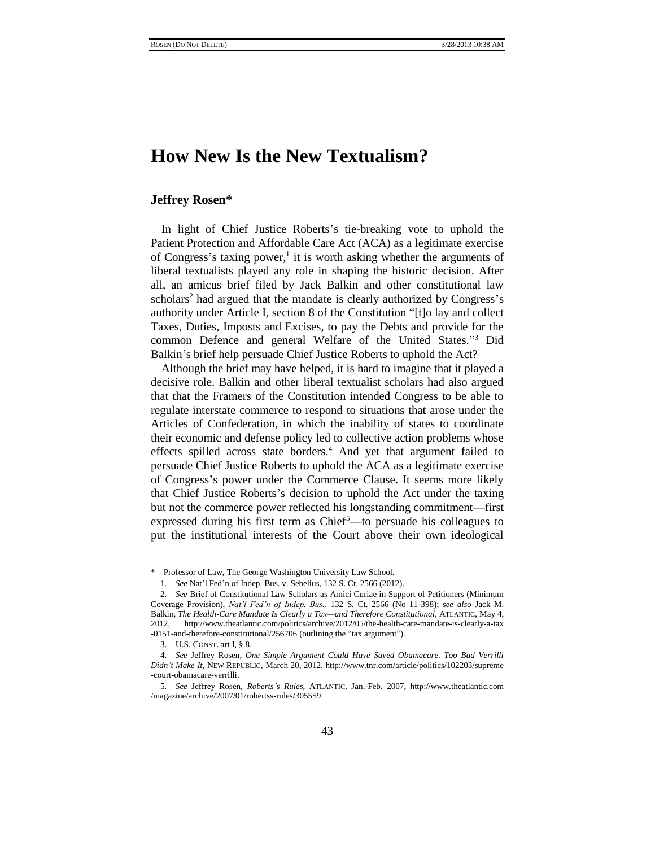# **How New Is the New Textualism?**

## **Jeffrey Rosen\***

In light of Chief Justice Roberts's tie-breaking vote to uphold the Patient Protection and Affordable Care Act (ACA) as a legitimate exercise of Congress's taxing power,<sup>1</sup> it is worth asking whether the arguments of liberal textualists played any role in shaping the historic decision. After all, an amicus brief filed by Jack Balkin and other constitutional law scholars<sup>2</sup> had argued that the mandate is clearly authorized by Congress's authority under Article I, section 8 of the Constitution "[t]o lay and collect Taxes, Duties, Imposts and Excises, to pay the Debts and provide for the common Defence and general Welfare of the United States." <sup>3</sup> Did Balkin"s brief help persuade Chief Justice Roberts to uphold the Act?

Although the brief may have helped, it is hard to imagine that it played a decisive role. Balkin and other liberal textualist scholars had also argued that that the Framers of the Constitution intended Congress to be able to regulate interstate commerce to respond to situations that arose under the Articles of Confederation, in which the inability of states to coordinate their economic and defense policy led to collective action problems whose effects spilled across state borders.<sup>4</sup> And yet that argument failed to persuade Chief Justice Roberts to uphold the ACA as a legitimate exercise of Congress"s power under the Commerce Clause. It seems more likely that Chief Justice Roberts"s decision to uphold the Act under the taxing but not the commerce power reflected his longstanding commitment—first expressed during his first term as  $Chie<sup>5</sup>$ —to persuade his colleagues to put the institutional interests of the Court above their own ideological

<sup>\*</sup> Professor of Law, The George Washington University Law School.

<sup>1</sup>*. See* Nat"l Fed"n of Indep. Bus. v. Sebelius, 132 S. Ct. 2566 (2012).

<sup>2</sup>*. See* Brief of Constitutional Law Scholars as Amici Curiae in Support of Petitioners (Minimum Coverage Provision), *Nat'l Fed'n of Indep. Bus.*, 132 S. Ct. 2566 (No 11-398); *see also* Jack M. Balkin, *The Health-Care Mandate Is Clearly a Tax—and Therefore Constitutional*, ATLANTIC, May 4, 2012, http://www.theatlantic.com/politics/archive/2012/05/the-health-care-mandate-is-clearly-a-tax -0151-and-therefore-constitutional/256706 (outlining the "tax argument").

<sup>3.</sup> U.S. CONST. art I, § 8.

<sup>4</sup>*. See* Jeffrey Rosen, *One Simple Argument Could Have Saved Obamacare. Too Bad Verrilli Didn't Make It*, NEW REPUBLIC, March 20, 2012, http://www.tnr.com/article/politics/102203/supreme -court-obamacare-verrilli.

<sup>5</sup>*. See* Jeffrey Rosen, *Roberts's Rules*, ATLANTIC, Jan.-Feb. 2007, http://www.theatlantic.com /magazine/archive/2007/01/robertss-rules/305559.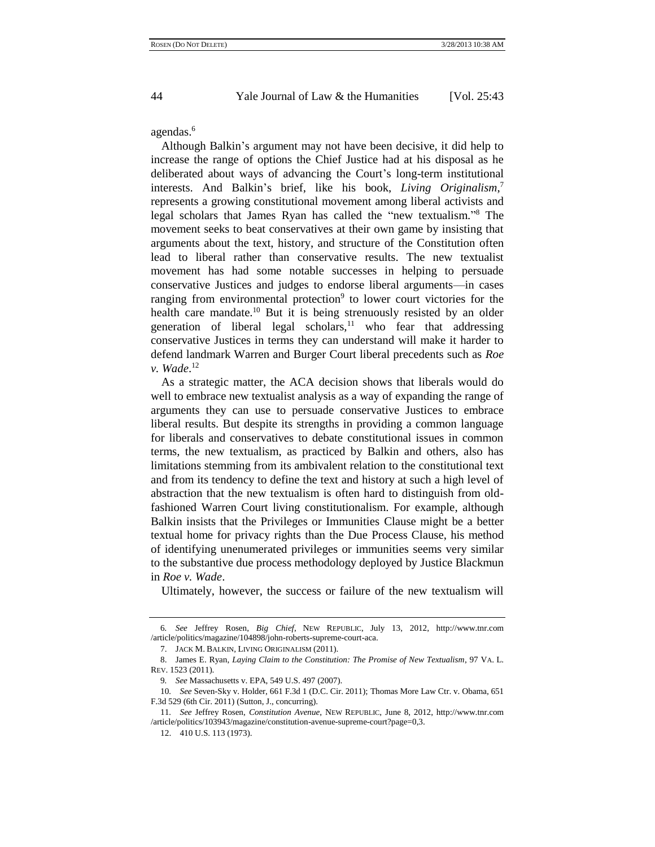<span id="page-1-0"></span>

agendas.<sup>6</sup>

Although Balkin"s argument may not have been decisive, it did help to increase the range of options the Chief Justice had at his disposal as he deliberated about ways of advancing the Court's long-term institutional interests. And Balkin"s brief, like his book, *Living Originalism*, 7 represents a growing constitutional movement among liberal activists and legal scholars that James Ryan has called the "new textualism." <sup>8</sup> The movement seeks to beat conservatives at their own game by insisting that arguments about the text, history, and structure of the Constitution often lead to liberal rather than conservative results. The new textualist movement has had some notable successes in helping to persuade conservative Justices and judges to endorse liberal arguments—in cases ranging from environmental protection<sup>9</sup> to lower court victories for the health care mandate.<sup>10</sup> But it is being strenuously resisted by an older generation of liberal legal scholars, $11$  who fear that addressing conservative Justices in terms they can understand will make it harder to defend landmark Warren and Burger Court liberal precedents such as *Roe v. Wade*. 12

As a strategic matter, the ACA decision shows that liberals would do well to embrace new textualist analysis as a way of expanding the range of arguments they can use to persuade conservative Justices to embrace liberal results. But despite its strengths in providing a common language for liberals and conservatives to debate constitutional issues in common terms, the new textualism, as practiced by Balkin and others, also has limitations stemming from its ambivalent relation to the constitutional text and from its tendency to define the text and history at such a high level of abstraction that the new textualism is often hard to distinguish from oldfashioned Warren Court living constitutionalism. For example, although Balkin insists that the Privileges or Immunities Clause might be a better textual home for privacy rights than the Due Process Clause, his method of identifying unenumerated privileges or immunities seems very similar to the substantive due process methodology deployed by Justice Blackmun in *Roe v. Wade*.

Ultimately, however, the success or failure of the new textualism will

<sup>6</sup>*. See* Jeffrey Rosen, *Big Chief*, NEW REPUBLIC, July 13, 2012, http://www.tnr.com /article/politics/magazine/104898/john-roberts-supreme-court-aca.

<sup>7.</sup> JACK M. BALKIN, LIVING ORIGINALISM (2011).

<sup>8.</sup> James E. Ryan, *Laying Claim to the Constitution: The Promise of New Textualism*, 97 VA. L. REV. 1523 (2011).

<sup>9</sup>*. See* Massachusetts v. EPA, 549 U.S. 497 (2007).

<sup>10</sup>*. See* Seven-Sky v. Holder, 661 F.3d 1 (D.C. Cir. 2011); Thomas More Law Ctr. v. Obama, 651 F.3d 529 (6th Cir. 2011) (Sutton, J., concurring).

<sup>11</sup>*. See* Jeffrey Rosen, *Constitution Avenue*, NEW REPUBLIC, June 8, 2012, http://www.tnr.com /article/politics/103943/magazine/constitution-avenue-supreme-court?page=0,3.

<sup>12.</sup> 410 U.S. 113 (1973).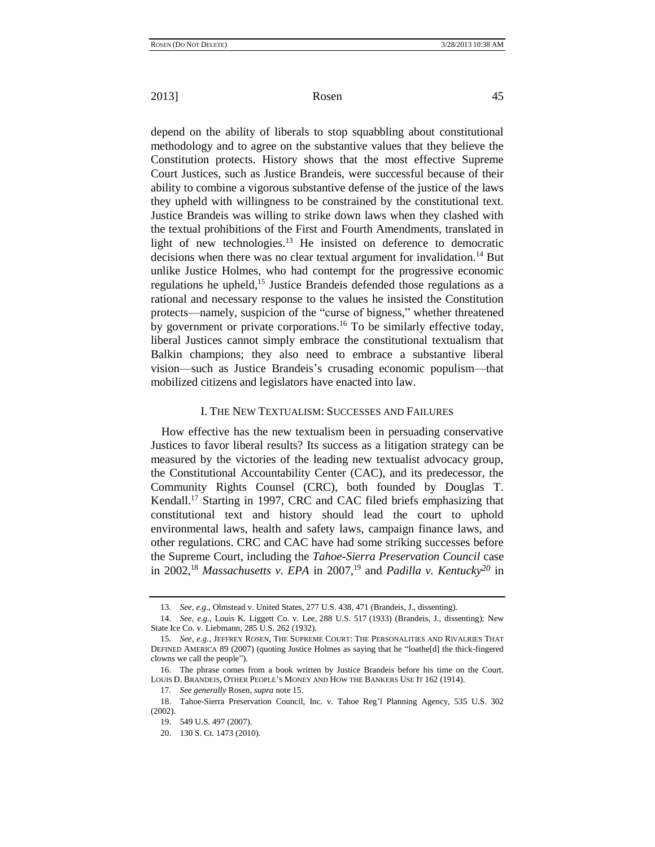depend on the ability of liberals to stop squabbling about constitutional methodology and to agree on the substantive values that they believe the Constitution protects. History shows that the most effective Supreme Court Justices, such as Justice Brandeis, were successful because of their ability to combine a vigorous substantive defense of the justice of the laws they upheld with willingness to be constrained by the constitutional text. Justice Brandeis was willing to strike down laws when they clashed with the textual prohibitions of the First and Fourth Amendments, translated in light of new technologies.<sup>13</sup> He insisted on deference to democratic decisions when there was no clear textual argument for invalidation.<sup>14</sup> But unlike Justice Holmes, who had contempt for the progressive economic regulations he upheld,<sup>15</sup> Justice Brandeis defended those regulations as a rational and necessary response to the values he insisted the Constitution protects—namely, suspicion of the "curse of bigness," whether threatened by government or private corporations.<sup>16</sup> To be similarly effective today, liberal Justices cannot simply embrace the constitutional textualism that Balkin champions; they also need to embrace a substantive liberal vision—such as Justice Brandeis"s crusading economic populism—that mobilized citizens and legislators have enacted into law.

### I. THE NEW TEXTUALISM: SUCCESSES AND FAILURES

How effective has the new textualism been in persuading conservative Justices to favor liberal results? Its success as a litigation strategy can be measured by the victories of the leading new textualist advocacy group, the Constitutional Accountability Center (CAC), and its predecessor, the Community Rights Counsel (CRC), both founded by Douglas T. Kendall.<sup>17</sup> Starting in 1997, CRC and CAC filed briefs emphasizing that constitutional text and history should lead the court to uphold environmental laws, health and safety laws, campaign finance laws, and other regulations. CRC and CAC have had some striking successes before the Supreme Court, including the *Tahoe-Sierra Preservation Council* case in 2002,<sup>18</sup> *Massachusetts v. EPA* in 2007,<sup>19</sup> and *Padilla v. Kentucky*<sup>20</sup> in

<sup>13</sup>*. See, e.g.*, Olmstead v. United States, 277 U.S. 438, 471 (Brandeis, J., dissenting).

<sup>14</sup>*. See, e.g.*, Louis K. Liggett Co. v. Lee, 288 U.S. 517 (1933) (Brandeis, J., dissenting); New State Ice Co. v. Liebmann, 285 U.S. 262 (1932).

<sup>15</sup>*. See, e.g.*, JEFFREY ROSEN, THE SUPREME COURT: THE PERSONALITIES AND RIVALRIES THAT DEFINED AMERICA 89 (2007) (quoting Justice Holmes as saying that he "loathe[d] the thick-fingered clowns we call the people").

<sup>16.</sup> The phrase comes from a book written by Justice Brandeis before his time on the Court. LOUIS D. BRANDEIS, OTHER PEOPLE"S MONEY AND HOW THE BANKERS USE IT 162 (1914).

<sup>17</sup>*. See generally* Rosen, *supra* note 15.

<sup>18.</sup> Tahoe-Sierra Preservation Council, Inc. v. Tahoe Reg"l Planning Agency, 535 U.S. 302 (2002).

<sup>19.</sup> 549 U.S. 497 (2007).

<sup>20.</sup> 130 S. Ct. 1473 (2010).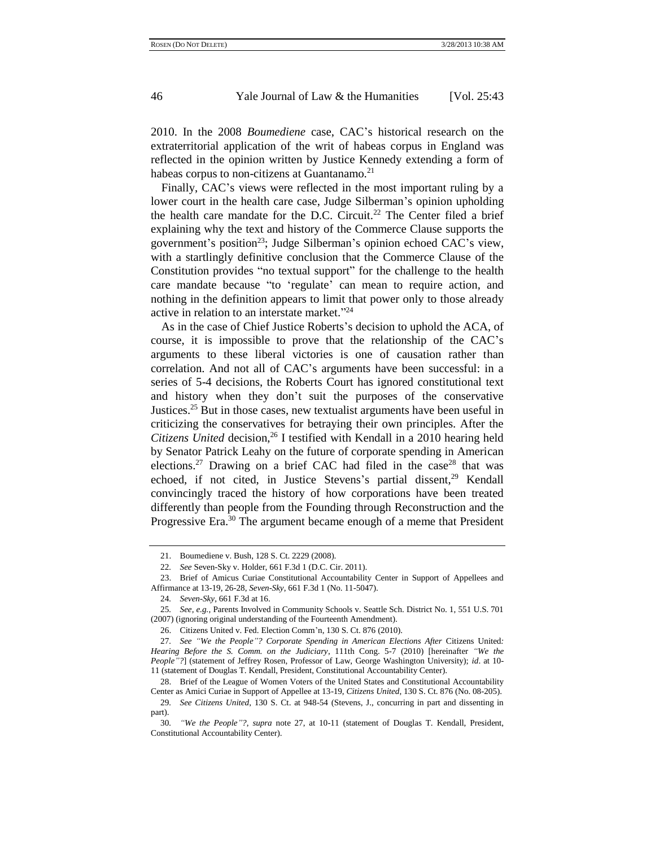2010. In the 2008 *Boumediene* case, CAC"s historical research on the extraterritorial application of the writ of habeas corpus in England was reflected in the opinion written by Justice Kennedy extending a form of habeas corpus to non-citizens at Guantanamo. $^{21}$ 

Finally, CAC"s views were reflected in the most important ruling by a lower court in the health care case, Judge Silberman's opinion upholding the health care mandate for the D.C. Circuit.<sup>22</sup> The Center filed a brief explaining why the text and history of the Commerce Clause supports the government's position<sup>23</sup>; Judge Silberman's opinion echoed CAC's view, with a startlingly definitive conclusion that the Commerce Clause of the Constitution provides "no textual support" for the challenge to the health care mandate because "to "regulate" can mean to require action, and nothing in the definition appears to limit that power only to those already active in relation to an interstate market." 24

As in the case of Chief Justice Roberts's decision to uphold the ACA, of course, it is impossible to prove that the relationship of the CAC"s arguments to these liberal victories is one of causation rather than correlation. And not all of CAC"s arguments have been successful: in a series of 5-4 decisions, the Roberts Court has ignored constitutional text and history when they don"t suit the purposes of the conservative Justices.<sup>25</sup> But in those cases, new textualist arguments have been useful in criticizing the conservatives for betraying their own principles. After the *Citizens United* decision,<sup>26</sup> I testified with Kendall in a 2010 hearing held by Senator Patrick Leahy on the future of corporate spending in American elections.<sup>27</sup> Drawing on a brief CAC had filed in the case<sup>28</sup> that was echoed, if not cited, in Justice Stevens's partial dissent,<sup>29</sup> Kendall convincingly traced the history of how corporations have been treated differently than people from the Founding through Reconstruction and the Progressive Era.<sup>30</sup> The argument became enough of a meme that President

<sup>21.</sup> Boumediene v. Bush, 128 S. Ct. 2229 (2008).

<sup>22</sup>*. See* Seven-Sky v. Holder, 661 F.3d 1 (D.C. Cir. 2011).

<sup>23.</sup> Brief of Amicus Curiae Constitutional Accountability Center in Support of Appellees and Affirmance at 13-19, 26-28, *Seven-Sky*, 661 F.3d 1 (No. 11-5047).

<sup>24</sup>*. Seven-Sky*, 661 F.3d at 16.

<sup>25</sup>*. See, e.g.*, Parents Involved in Community Schools v. Seattle Sch. District No. 1, 551 U.S. 701 (2007) (ignoring original understanding of the Fourteenth Amendment).

<sup>26.</sup> Citizens United v. Fed. Election Comm"n, 130 S. Ct. 876 (2010).

<sup>27</sup>*. See "We the People"? Corporate Spending in American Elections After* Citizens United*: Hearing Before the S. Comm. on the Judiciary*, 111th Cong. 5-7 (2010) [hereinafter *"We the People"?*] (statement of Jeffrey Rosen, Professor of Law, George Washington University); *id*. at 10- 11 (statement of Douglas T. Kendall, President, Constitutional Accountability Center).

<sup>28.</sup> Brief of the League of Women Voters of the United States and Constitutional Accountability Center as Amici Curiae in Support of Appellee at 13-19, *Citizens United*, 130 S. Ct. 876 (No. 08-205).

<sup>29</sup>*. See Citizens United*, 130 S. Ct. at 948-54 (Stevens, J., concurring in part and dissenting in part).

<sup>30</sup>*. "We the People"?*, *supra* note 27, at 10-11 (statement of Douglas T. Kendall, President, Constitutional Accountability Center).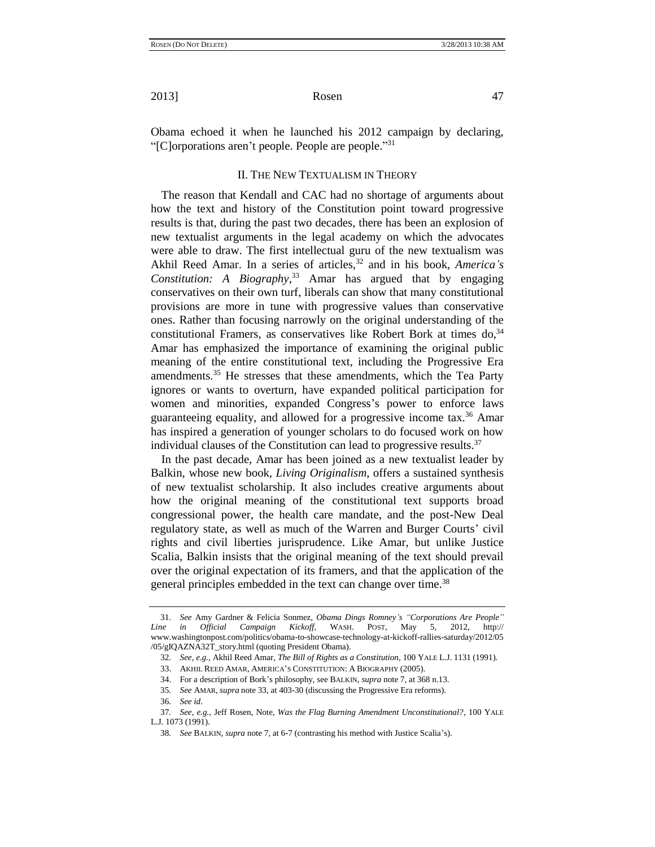Obama echoed it when he launched his 2012 campaign by declaring, "[C]orporations aren't people. People are people."31

### II. THE NEW TEXTUALISM IN THEORY

The reason that Kendall and CAC had no shortage of arguments about how the text and history of the Constitution point toward progressive results is that, during the past two decades, there has been an explosion of new textualist arguments in the legal academy on which the advocates were able to draw. The first intellectual guru of the new textualism was Akhil Reed Amar. In a series of articles,<sup>32</sup> and in his book, *America's Constitution: A Biography*, <sup>33</sup> Amar has argued that by engaging conservatives on their own turf, liberals can show that many constitutional provisions are more in tune with progressive values than conservative ones. Rather than focusing narrowly on the original understanding of the constitutional Framers, as conservatives like Robert Bork at times  $do<sup>34</sup>$ , Amar has emphasized the importance of examining the original public meaning of the entire constitutional text, including the Progressive Era amendments.<sup>35</sup> He stresses that these amendments, which the Tea Party ignores or wants to overturn, have expanded political participation for women and minorities, expanded Congress's power to enforce laws guaranteeing equality, and allowed for a progressive income tax.<sup>36</sup> Amar has inspired a generation of younger scholars to do focused work on how individual clauses of the Constitution can lead to progressive results.<sup>37</sup>

In the past decade, Amar has been joined as a new textualist leader by Balkin, whose new book, *Living Originalism*, offers a sustained synthesis of new textualist scholarship. It also includes creative arguments about how the original meaning of the constitutional text supports broad congressional power, the health care mandate, and the post-New Deal regulatory state, as well as much of the Warren and Burger Courts' civil rights and civil liberties jurisprudence. Like Amar, but unlike Justice Scalia, Balkin insists that the original meaning of the text should prevail over the original expectation of its framers, and that the application of the general principles embedded in the text can change over time.<sup>38</sup>

<sup>31</sup>*. See* Amy Gardner & Felicia Sonmez, *Obama Dings Romney's "Corporations Are People" Line in Official Campaign Kickoff*, WASH. POST, May 5, 2012, http:// www.washingtonpost.com/politics/obama-to-showcase-technology-at-kickoff-rallies-saturday/2012/05 /05/gIQAZNA32T\_story.html (quoting President Obama).

<sup>32</sup>*. See, e.g.*, Akhil Reed Amar, *The Bill of Rights as a Constitution*, 100 YALE L.J. 1131 (1991).

<sup>33.</sup> AKHIL REED AMAR, AMERICA"S CONSTITUTION: A BIOGRAPHY (2005).

<sup>34.</sup> For a description of Bork"s philosophy, see BALKIN, *supra* note 7, at 368 n.13.

<sup>35</sup>*. See* AMAR, *supra* note 33, at 403-30 (discussing the Progressive Era reforms).

<sup>36</sup>*. See id*.

<sup>37</sup>*. See, e.g.*, Jeff Rosen, Note, *Was the Flag Burning Amendment Unconstitutional?*, 100 YALE L.J*.* 1073 (1991).

<sup>38</sup>*. See* BALKIN, *supra* note 7, at 6-7 (contrasting his method with Justice Scalia"s).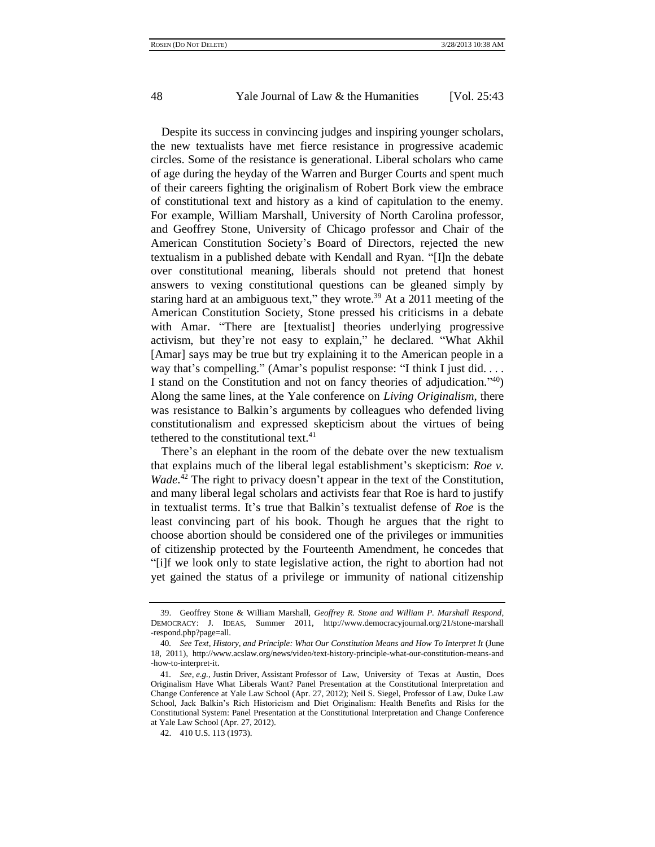Despite its success in convincing judges and inspiring younger scholars, the new textualists have met fierce resistance in progressive academic circles. Some of the resistance is generational. Liberal scholars who came of age during the heyday of the Warren and Burger Courts and spent much of their careers fighting the originalism of Robert Bork view the embrace of constitutional text and history as a kind of capitulation to the enemy. For example, William Marshall, University of North Carolina professor, and Geoffrey Stone, University of Chicago professor and Chair of the American Constitution Society"s Board of Directors, rejected the new textualism in a published debate with Kendall and Ryan. "[I]n the debate over constitutional meaning, liberals should not pretend that honest answers to vexing constitutional questions can be gleaned simply by staring hard at an ambiguous text," they wrote.<sup>39</sup> At a 2011 meeting of the American Constitution Society, Stone pressed his criticisms in a debate with Amar. "There are [textualist] theories underlying progressive activism, but they"re not easy to explain," he declared. "What Akhil [Amar] says may be true but try explaining it to the American people in a way that's compelling." (Amar's populist response: "I think I just did. . . . I stand on the Constitution and not on fancy theories of adjudication." <sup>40</sup>) Along the same lines, at the Yale conference on *Living Originalism*, there was resistance to Balkin's arguments by colleagues who defended living constitutionalism and expressed skepticism about the virtues of being tethered to the constitutional text.<sup>41</sup>

There's an elephant in the room of the debate over the new textualism that explains much of the liberal legal establishment's skepticism: *Roe v. Wade*.<sup>42</sup> The right to privacy doesn't appear in the text of the Constitution, and many liberal legal scholars and activists fear that Roe is hard to justify in textualist terms. It"s true that Balkin"s textualist defense of *Roe* is the least convincing part of his book. Though he argues that the right to choose abortion should be considered one of the privileges or immunities of citizenship protected by the Fourteenth Amendment, he concedes that "[i]f we look only to state legislative action, the right to abortion had not yet gained the status of a privilege or immunity of national citizenship

<sup>39.</sup> Geoffrey Stone & William Marshall, *Geoffrey R. Stone and William P. Marshall Respond*, DEMOCRACY: J. IDEAS, Summer 2011, http://www.democracyjournal.org/21/stone-marshall -respond.php?page=all.

<sup>40</sup>*. See Text, History, and Principle: What Our Constitution Means and How To Interpret It* (June 18, 2011), http://www.acslaw.org/news/video/text-history-principle-what-our-constitution-means-and -how-to-interpret-it.

<sup>41</sup>*. See, e.g.*, Justin Driver, Assistant Professor of Law, University of Texas at Austin, Does Originalism Have What Liberals Want? Panel Presentation at the Constitutional Interpretation and Change Conference at Yale Law School (Apr. 27, 2012); Neil S. Siegel, Professor of Law, Duke Law School, Jack Balkin"s Rich Historicism and Diet Originalism: Health Benefits and Risks for the Constitutional System: Panel Presentation at the Constitutional Interpretation and Change Conference at Yale Law School (Apr. 27, 2012).

<sup>42.</sup> 410 U.S. 113 (1973).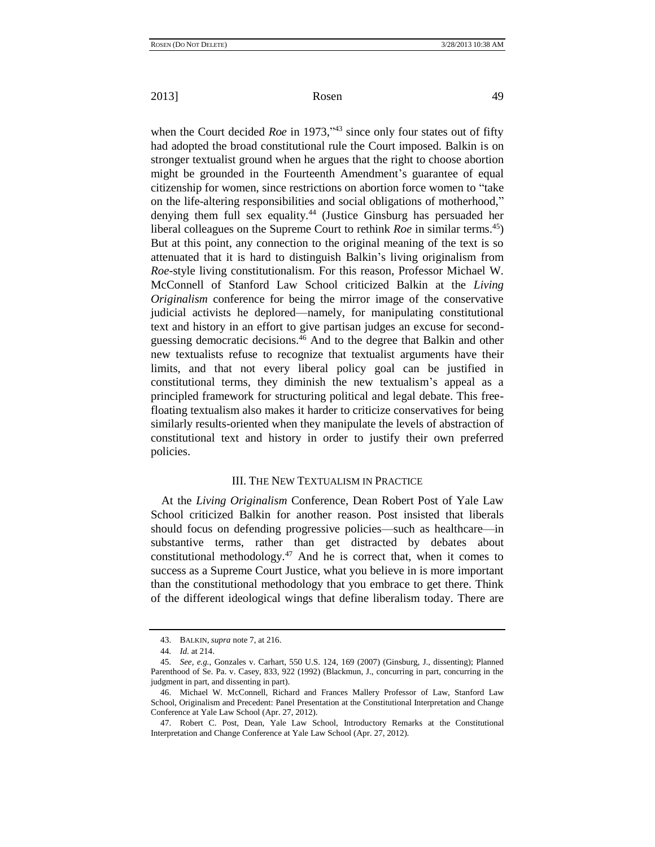when the Court decided *Roe* in 1973,<sup>743</sup> since only four states out of fifty had adopted the broad constitutional rule the Court imposed. Balkin is on stronger textualist ground when he argues that the right to choose abortion might be grounded in the Fourteenth Amendment's guarantee of equal citizenship for women, since restrictions on abortion force women to "take on the life-altering responsibilities and social obligations of motherhood," denying them full sex equality.<sup>44</sup> (Justice Ginsburg has persuaded her liberal colleagues on the Supreme Court to rethink *Roe* in similar terms.<sup>45</sup>) But at this point, any connection to the original meaning of the text is so attenuated that it is hard to distinguish Balkin"s living originalism from *Roe-*style living constitutionalism. For this reason, Professor Michael W. McConnell of Stanford Law School criticized Balkin at the *Living Originalism* conference for being the mirror image of the conservative judicial activists he deplored—namely, for manipulating constitutional text and history in an effort to give partisan judges an excuse for secondguessing democratic decisions.<sup>46</sup> And to the degree that Balkin and other new textualists refuse to recognize that textualist arguments have their limits, and that not every liberal policy goal can be justified in constitutional terms, they diminish the new textualism"s appeal as a principled framework for structuring political and legal debate. This freefloating textualism also makes it harder to criticize conservatives for being similarly results-oriented when they manipulate the levels of abstraction of constitutional text and history in order to justify their own preferred policies.

### III. THE NEW TEXTUALISM IN PRACTICE

At the *Living Originalism* Conference, Dean Robert Post of Yale Law School criticized Balkin for another reason. Post insisted that liberals should focus on defending progressive policies—such as healthcare—in substantive terms, rather than get distracted by debates about constitutional methodology. $47$  And he is correct that, when it comes to success as a Supreme Court Justice, what you believe in is more important than the constitutional methodology that you embrace to get there. Think of the different ideological wings that define liberalism today. There are

<sup>43.</sup> BALKIN, *supra* not[e 7,](#page-1-0) at 216.

<sup>44</sup>*. Id.* at 214.

<sup>45</sup>*. See, e.g.*, Gonzales v. Carhart, 550 U.S. 124, 169 (2007) (Ginsburg, J., dissenting); Planned Parenthood of Se. Pa. v. Casey, 833, 922 (1992) (Blackmun, J., concurring in part, concurring in the judgment in part, and dissenting in part).

<sup>46.</sup> Michael W. McConnell, Richard and Frances Mallery Professor of Law, Stanford Law School, Originalism and Precedent: Panel Presentation at the Constitutional Interpretation and Change Conference at Yale Law School (Apr. 27, 2012).

<sup>47.</sup> Robert C. Post, Dean, Yale Law School, Introductory Remarks at the Constitutional Interpretation and Change Conference at Yale Law School (Apr. 27, 2012).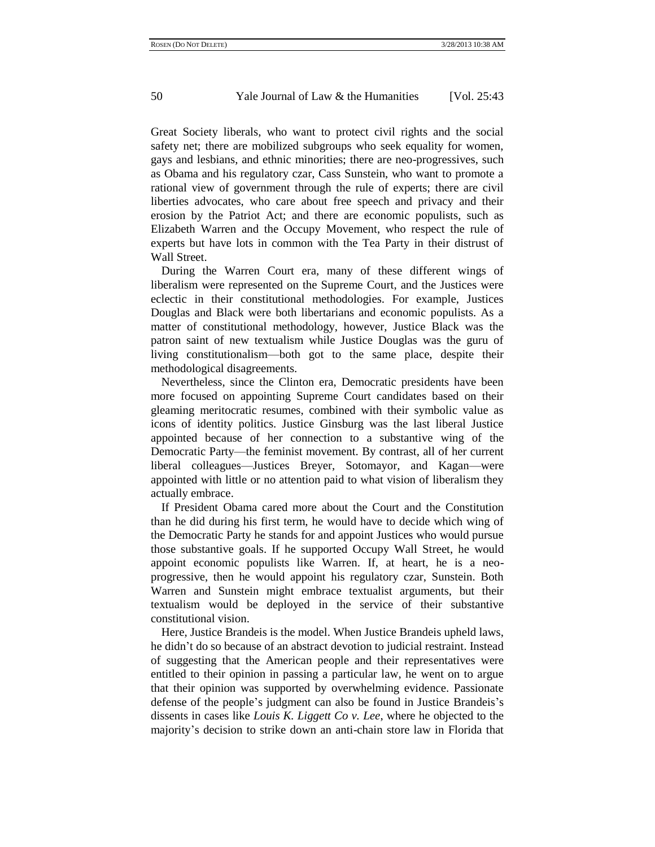Great Society liberals, who want to protect civil rights and the social safety net; there are mobilized subgroups who seek equality for women, gays and lesbians, and ethnic minorities; there are neo-progressives, such as Obama and his regulatory czar, Cass Sunstein, who want to promote a rational view of government through the rule of experts; there are civil liberties advocates, who care about free speech and privacy and their erosion by the Patriot Act; and there are economic populists, such as Elizabeth Warren and the Occupy Movement, who respect the rule of experts but have lots in common with the Tea Party in their distrust of Wall Street.

During the Warren Court era, many of these different wings of liberalism were represented on the Supreme Court, and the Justices were eclectic in their constitutional methodologies. For example, Justices Douglas and Black were both libertarians and economic populists. As a matter of constitutional methodology, however, Justice Black was the patron saint of new textualism while Justice Douglas was the guru of living constitutionalism—both got to the same place, despite their methodological disagreements.

Nevertheless, since the Clinton era, Democratic presidents have been more focused on appointing Supreme Court candidates based on their gleaming meritocratic resumes, combined with their symbolic value as icons of identity politics. Justice Ginsburg was the last liberal Justice appointed because of her connection to a substantive wing of the Democratic Party—the feminist movement. By contrast, all of her current liberal colleagues—Justices Breyer, Sotomayor, and Kagan—were appointed with little or no attention paid to what vision of liberalism they actually embrace.

If President Obama cared more about the Court and the Constitution than he did during his first term, he would have to decide which wing of the Democratic Party he stands for and appoint Justices who would pursue those substantive goals. If he supported Occupy Wall Street, he would appoint economic populists like Warren. If, at heart, he is a neoprogressive, then he would appoint his regulatory czar, Sunstein. Both Warren and Sunstein might embrace textualist arguments, but their textualism would be deployed in the service of their substantive constitutional vision.

Here, Justice Brandeis is the model. When Justice Brandeis upheld laws, he didn"t do so because of an abstract devotion to judicial restraint. Instead of suggesting that the American people and their representatives were entitled to their opinion in passing a particular law, he went on to argue that their opinion was supported by overwhelming evidence. Passionate defense of the people"s judgment can also be found in Justice Brandeis"s dissents in cases like *Louis K. Liggett Co v. Lee*, where he objected to the majority"s decision to strike down an anti-chain store law in Florida that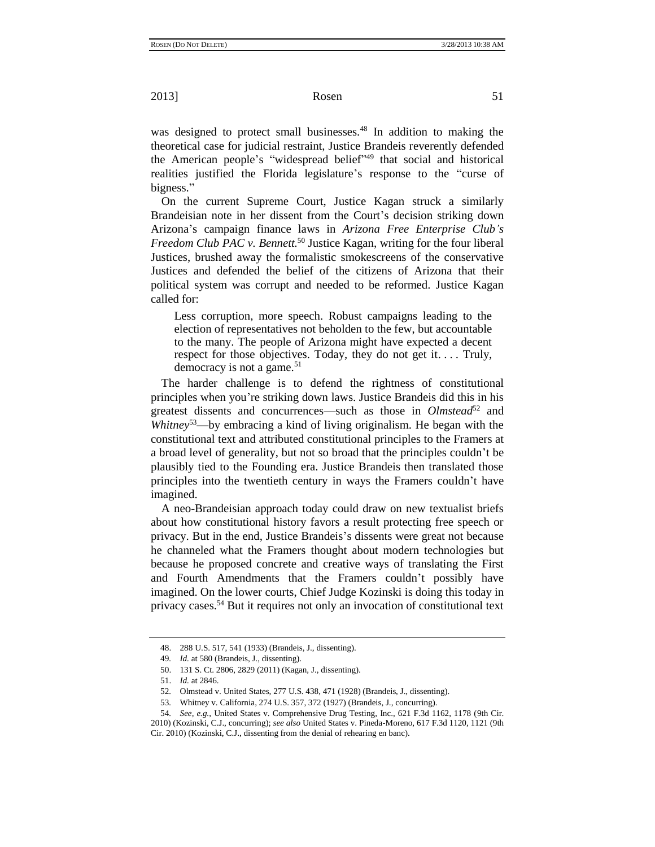was designed to protect small businesses.<sup>48</sup> In addition to making the theoretical case for judicial restraint, Justice Brandeis reverently defended the American people's "widespread belief"<sup>49</sup> that social and historical realities justified the Florida legislature's response to the "curse of bigness."

On the current Supreme Court, Justice Kagan struck a similarly Brandeisian note in her dissent from the Court's decision striking down Arizona"s campaign finance laws in *Arizona Free Enterprise Club's Freedom Club PAC v. Bennett.*<sup>50</sup> Justice Kagan, writing for the four liberal Justices, brushed away the formalistic smokescreens of the conservative Justices and defended the belief of the citizens of Arizona that their political system was corrupt and needed to be reformed. Justice Kagan called for:

Less corruption, more speech. Robust campaigns leading to the election of representatives not beholden to the few, but accountable to the many. The people of Arizona might have expected a decent respect for those objectives. Today, they do not get it.... Truly, democracy is not a game.<sup>51</sup>

The harder challenge is to defend the rightness of constitutional principles when you"re striking down laws. Justice Brandeis did this in his greatest dissents and concurrences—such as those in *Olmstead*<sup>52</sup> and *Whitney*<sup>53</sup>—by embracing a kind of living originalism. He began with the constitutional text and attributed constitutional principles to the Framers at a broad level of generality, but not so broad that the principles couldn"t be plausibly tied to the Founding era. Justice Brandeis then translated those principles into the twentieth century in ways the Framers couldn"t have imagined.

A neo-Brandeisian approach today could draw on new textualist briefs about how constitutional history favors a result protecting free speech or privacy. But in the end, Justice Brandeis"s dissents were great not because he channeled what the Framers thought about modern technologies but because he proposed concrete and creative ways of translating the First and Fourth Amendments that the Framers couldn"t possibly have imagined. On the lower courts, Chief Judge Kozinski is doing this today in privacy cases.<sup>54</sup> But it requires not only an invocation of constitutional text

<sup>48.</sup> 288 U.S. 517, 541 (1933) (Brandeis, J., dissenting).

<sup>49</sup>*. Id.* at 580 (Brandeis, J., dissenting).

<sup>50.</sup> 131 S. Ct. 2806, 2829 (2011) (Kagan, J., dissenting).

<sup>51.</sup> *Id.* at 2846.

<sup>52</sup>*.* Olmstead v. United States, 277 U.S. 438, 471 (1928) (Brandeis, J., dissenting).

<sup>53</sup>*.* Whitney v. California, 274 U.S. 357, 372 (1927) (Brandeis, J., concurring).

<sup>54</sup>*. See, e.g.*, United States v. Comprehensive Drug Testing, Inc., 621 F.3d 1162, 1178 (9th Cir. 2010) (Kozinski, C.J., concurring); *see also* United States v. Pineda-Moreno, 617 F.3d 1120, 1121 (9th Cir. 2010) (Kozinski, C.J., dissenting from the denial of rehearing en banc).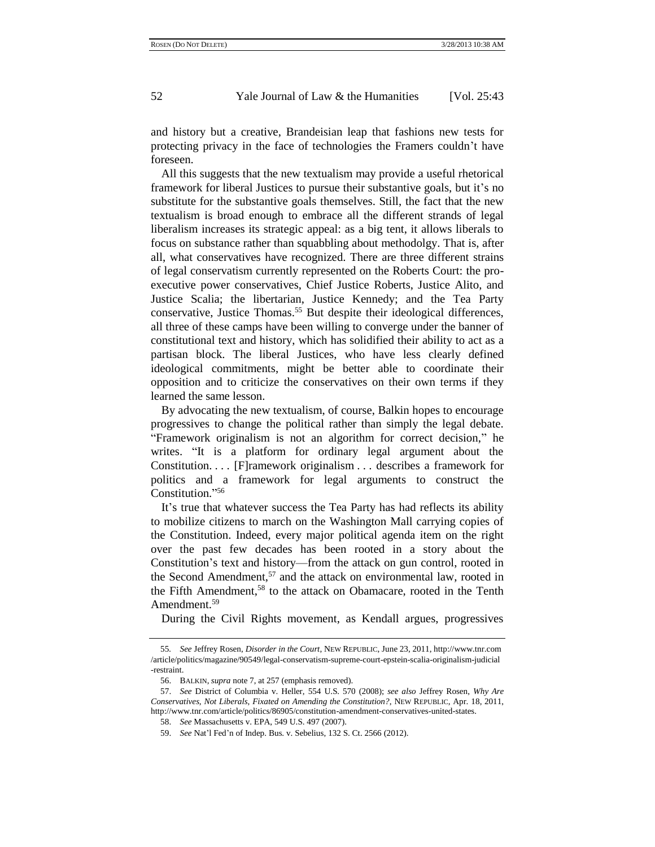and history but a creative, Brandeisian leap that fashions new tests for protecting privacy in the face of technologies the Framers couldn"t have foreseen.

All this suggests that the new textualism may provide a useful rhetorical framework for liberal Justices to pursue their substantive goals, but it's no substitute for the substantive goals themselves. Still, the fact that the new textualism is broad enough to embrace all the different strands of legal liberalism increases its strategic appeal: as a big tent, it allows liberals to focus on substance rather than squabbling about methodolgy. That is, after all, what conservatives have recognized. There are three different strains of legal conservatism currently represented on the Roberts Court: the proexecutive power conservatives, Chief Justice Roberts, Justice Alito, and Justice Scalia; the libertarian, Justice Kennedy; and the Tea Party conservative, Justice Thomas.<sup>55</sup> But despite their ideological differences, all three of these camps have been willing to converge under the banner of constitutional text and history, which has solidified their ability to act as a partisan block. The liberal Justices, who have less clearly defined ideological commitments, might be better able to coordinate their opposition and to criticize the conservatives on their own terms if they learned the same lesson.

By advocating the new textualism, of course, Balkin hopes to encourage progressives to change the political rather than simply the legal debate. "Framework originalism is not an algorithm for correct decision," he writes. "It is a platform for ordinary legal argument about the Constitution. . . . [F]ramework originalism . . . describes a framework for politics and a framework for legal arguments to construct the Constitution." 56

It"s true that whatever success the Tea Party has had reflects its ability to mobilize citizens to march on the Washington Mall carrying copies of the Constitution. Indeed, every major political agenda item on the right over the past few decades has been rooted in a story about the Constitution"s text and history—from the attack on gun control, rooted in the Second Amendment, $57$  and the attack on environmental law, rooted in the Fifth Amendment,<sup>58</sup> to the attack on Obamacare, rooted in the Tenth Amendment.<sup>59</sup>

During the Civil Rights movement, as Kendall argues, progressives

<sup>55</sup>*. See* Jeffrey Rosen, *Disorder in the Court*, NEW REPUBLIC, June 23, 2011, http://www.tnr.com /article/politics/magazine/90549/legal-conservatism-supreme-court-epstein-scalia-originalism-judicial -restraint.

<sup>56.</sup> BALKIN, *supra* note 7, at 257 (emphasis removed).

<sup>57.</sup> *See* District of Columbia v. Heller, 554 U.S. 570 (2008); *see also* Jeffrey Rosen, *Why Are Conservatives, Not Liberals, Fixated on Amending the Constitution?*, NEW REPUBLIC, Apr. 18, 2011, http://www.tnr.com/article/politics/86905/constitution-amendment-conservatives-united-states.

<sup>58.</sup> *See* Massachusetts v. EPA, 549 U.S. 497 (2007).

<sup>59.</sup> *See* Nat"l Fed"n of Indep. Bus. v. Sebelius, 132 S. Ct. 2566 (2012).